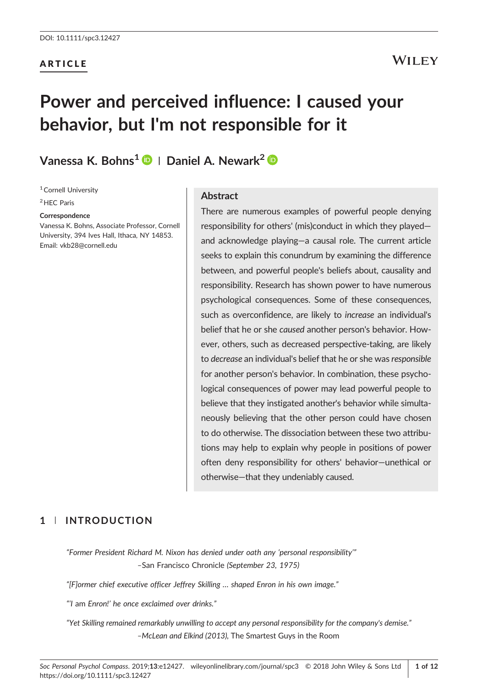## ARTICLE

## **WILEY**

# Power and perceived influence: I caused your behavior, but I'm not responsible for it

## Vanessa K. Bohns<sup>1</sup>  $\bigcirc$  | Daniel A. Newark<sup>2</sup>  $\bigcirc$

<sup>1</sup> Cornell University

<sup>2</sup>HEC Paris

#### Correspondence

Vanessa K. Bohns, Associate Professor, Cornell University, 394 Ives Hall, Ithaca, NY 14853. Email: [vkb28@cornell.edu](mailto:vkb28@cornell.edu)

## **Abstract**

There are numerous examples of powerful people denying responsibility for others' (mis)conduct in which they played and acknowledge playing—a causal role. The current article seeks to explain this conundrum by examining the difference between, and powerful people's beliefs about, causality and responsibility. Research has shown power to have numerous psychological consequences. Some of these consequences, such as overconfidence, are likely to increase an individual's belief that he or she caused another person's behavior. However, others, such as decreased perspective-taking, are likely to decrease an individual's belief that he or she was responsible for another person's behavior. In combination, these psychological consequences of power may lead powerful people to believe that they instigated another's behavior while simultaneously believing that the other person could have chosen to do otherwise. The dissociation between these two attributions may help to explain why people in positions of power often deny responsibility for others' behavior—unethical or otherwise—that they undeniably caused.

## 1 | INTRODUCTION

"Former President Richard M. Nixon has denied under oath any 'personal responsibility'" –San Francisco Chronicle (September 23, 1975)

"[F]ormer chief executive officer Jeffrey Skilling … shaped Enron in his own image."

"'I am Enron!' he once exclaimed over drinks."

"Yet Skilling remained remarkably unwilling to accept any personal responsibility for the company's demise." –McLean and Elkind (2013), The Smartest Guys in the Room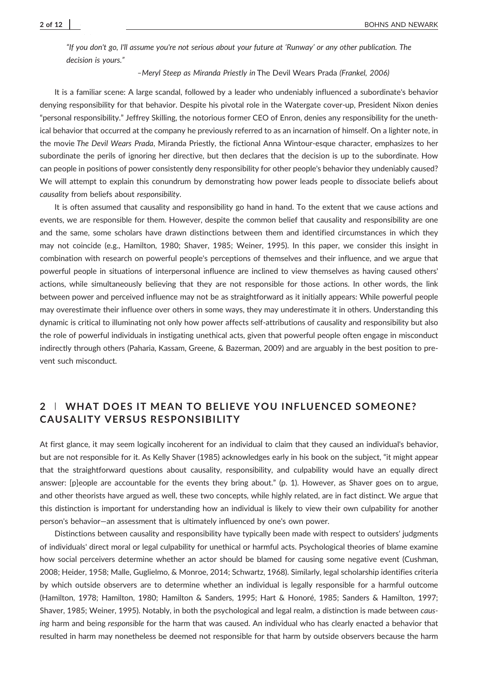"If you don't go, I'll assume you're not serious about your future at 'Runway' or any other publication. The decision is yours."

–Meryl Steep as Miranda Priestly in The Devil Wears Prada (Frankel, 2006)

It is a familiar scene: A large scandal, followed by a leader who undeniably influenced a subordinate's behavior denying responsibility for that behavior. Despite his pivotal role in the Watergate cover‐up, President Nixon denies "personal responsibility." Jeffrey Skilling, the notorious former CEO of Enron, denies any responsibility for the unethical behavior that occurred at the company he previously referred to as an incarnation of himself. On a lighter note, in the movie The Devil Wears Prada, Miranda Priestly, the fictional Anna Wintour‐esque character, emphasizes to her subordinate the perils of ignoring her directive, but then declares that the decision is up to the subordinate. How can people in positions of power consistently deny responsibility for other people's behavior they undeniably caused? We will attempt to explain this conundrum by demonstrating how power leads people to dissociate beliefs about causality from beliefs about responsibility.

It is often assumed that causality and responsibility go hand in hand. To the extent that we cause actions and events, we are responsible for them. However, despite the common belief that causality and responsibility are one and the same, some scholars have drawn distinctions between them and identified circumstances in which they may not coincide (e.g., Hamilton, 1980; Shaver, 1985; Weiner, 1995). In this paper, we consider this insight in combination with research on powerful people's perceptions of themselves and their influence, and we argue that powerful people in situations of interpersonal influence are inclined to view themselves as having caused others' actions, while simultaneously believing that they are not responsible for those actions. In other words, the link between power and perceived influence may not be as straightforward as it initially appears: While powerful people may overestimate their influence over others in some ways, they may underestimate it in others. Understanding this dynamic is critical to illuminating not only how power affects self‐attributions of causality and responsibility but also the role of powerful individuals in instigating unethical acts, given that powerful people often engage in misconduct indirectly through others (Paharia, Kassam, Greene, & Bazerman, 2009) and are arguably in the best position to prevent such misconduct.

## 2 | WHAT DOES IT MEAN TO BELIEVE YOU INFLUENCED SOMEONE? CAUSALITY VERSUS RESPONSIBILITY

At first glance, it may seem logically incoherent for an individual to claim that they caused an individual's behavior, but are not responsible for it. As Kelly Shaver (1985) acknowledges early in his book on the subject, "it might appear that the straightforward questions about causality, responsibility, and culpability would have an equally direct answer: [p]eople are accountable for the events they bring about." (p. 1). However, as Shaver goes on to argue, and other theorists have argued as well, these two concepts, while highly related, are in fact distinct. We argue that this distinction is important for understanding how an individual is likely to view their own culpability for another person's behavior—an assessment that is ultimately influenced by one's own power.

Distinctions between causality and responsibility have typically been made with respect to outsiders' judgments of individuals' direct moral or legal culpability for unethical or harmful acts. Psychological theories of blame examine how social perceivers determine whether an actor should be blamed for causing some negative event (Cushman, 2008; Heider, 1958; Malle, Guglielmo, & Monroe, 2014; Schwartz, 1968). Similarly, legal scholarship identifies criteria by which outside observers are to determine whether an individual is legally responsible for a harmful outcome (Hamilton, 1978; Hamilton, 1980; Hamilton & Sanders, 1995; Hart & Honoré, 1985; Sanders & Hamilton, 1997; Shaver, 1985; Weiner, 1995). Notably, in both the psychological and legal realm, a distinction is made between causing harm and being responsible for the harm that was caused. An individual who has clearly enacted a behavior that resulted in harm may nonetheless be deemed not responsible for that harm by outside observers because the harm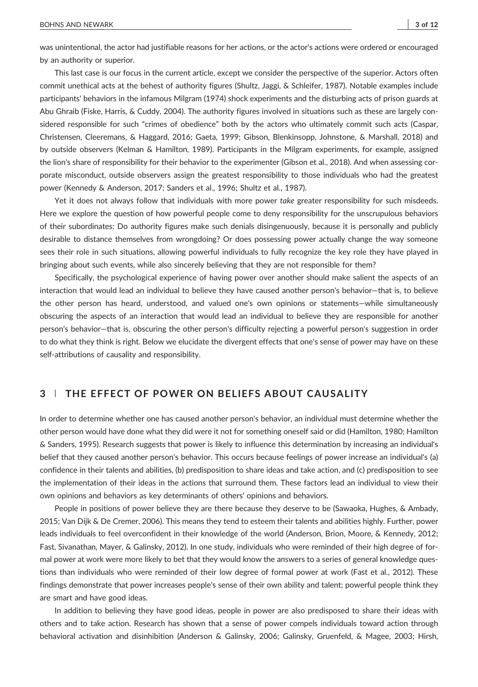was unintentional, the actor had justifiable reasons for her actions, or the actor's actions were ordered or encouraged by an authority or superior.

This last case is our focus in the current article, except we consider the perspective of the superior. Actors often commit unethical acts at the behest of authority figures (Shultz, Jaggi, & Schleifer, 1987). Notable examples include participants' behaviors in the infamous Milgram (1974) shock experiments and the disturbing acts of prison guards at Abu Ghraib (Fiske, Harris, & Cuddy, 2004). The authority figures involved in situations such as these are largely considered responsible for such "crimes of obedience" both by the actors who ultimately commit such acts (Caspar, Christensen, Cleeremans, & Haggard, 2016; Gaeta, 1999; Gibson, Blenkinsopp, Johnstone, & Marshall, 2018) and by outside observers (Kelman & Hamilton, 1989). Participants in the Milgram experiments, for example, assigned the lion's share of responsibility for their behavior to the experimenter (Gibson et al., 2018). And when assessing corporate misconduct, outside observers assign the greatest responsibility to those individuals who had the greatest power (Kennedy & Anderson, 2017; Sanders et al., 1996; Shultz et al., 1987).

Yet it does not always follow that individuals with more power take greater responsibility for such misdeeds. Here we explore the question of how powerful people come to deny responsibility for the unscrupulous behaviors of their subordinates: Do authority figures make such denials disingenuously, because it is personally and publicly desirable to distance themselves from wrongdoing? Or does possessing power actually change the way someone sees their role in such situations, allowing powerful individuals to fully recognize the key role they have played in bringing about such events, while also sincerely believing that they are not responsible for them?

Specifically, the psychological experience of having power over another should make salient the aspects of an interaction that would lead an individual to believe they have caused another person's behavior—that is, to believe the other person has heard, understood, and valued one's own opinions or statements—while simultaneously obscuring the aspects of an interaction that would lead an individual to believe they are responsible for another person's behavior—that is, obscuring the other person's difficulty rejecting a powerful person's suggestion in order to do what they think is right. Below we elucidate the divergent effects that one's sense of power may have on these self-attributions of causality and responsibility.

## 3 | THE EFFECT OF POWER ON BELIEFS ABOUT CAUSALITY

In order to determine whether one has caused another person's behavior, an individual must determine whether the other person would have done what they did were it not for something oneself said or did (Hamilton, 1980; Hamilton & Sanders, 1995). Research suggests that power is likely to influence this determination by increasing an individual's belief that they caused another person's behavior. This occurs because feelings of power increase an individual's (a) confidence in their talents and abilities, (b) predisposition to share ideas and take action, and (c) predisposition to see the implementation of their ideas in the actions that surround them. These factors lead an individual to view their own opinions and behaviors as key determinants of others' opinions and behaviors.

People in positions of power believe they are there because they deserve to be (Sawaoka, Hughes, & Ambady, 2015; Van Dijk & De Cremer, 2006). This means they tend to esteem their talents and abilities highly. Further, power leads individuals to feel overconfident in their knowledge of the world (Anderson, Brion, Moore, & Kennedy, 2012; Fast, Sivanathan, Mayer, & Galinsky, 2012). In one study, individuals who were reminded of their high degree of formal power at work were more likely to bet that they would know the answers to a series of general knowledge questions than individuals who were reminded of their low degree of formal power at work (Fast et al., 2012). These findings demonstrate that power increases people's sense of their own ability and talent; powerful people think they are smart and have good ideas.

In addition to believing they have good ideas, people in power are also predisposed to share their ideas with others and to take action. Research has shown that a sense of power compels individuals toward action through behavioral activation and disinhibition (Anderson & Galinsky, 2006; Galinsky, Gruenfeld, & Magee, 2003; Hirsh,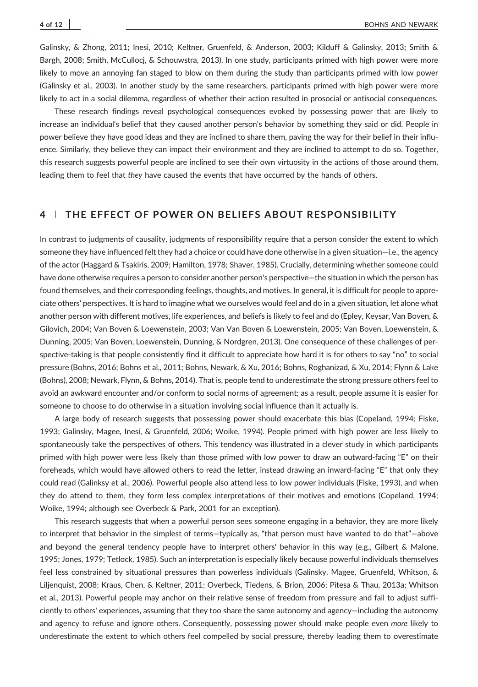Galinsky, & Zhong, 2011; Inesi, 2010; Keltner, Gruenfeld, & Anderson, 2003; Kilduff & Galinsky, 2013; Smith & Bargh, 2008; Smith, McCullocj, & Schouwstra, 2013). In one study, participants primed with high power were more likely to move an annoying fan staged to blow on them during the study than participants primed with low power (Galinsky et al., 2003). In another study by the same researchers, participants primed with high power were more likely to act in a social dilemma, regardless of whether their action resulted in prosocial or antisocial consequences.

These research findings reveal psychological consequences evoked by possessing power that are likely to increase an individual's belief that they caused another person's behavior by something they said or did. People in power believe they have good ideas and they are inclined to share them, paving the way for their belief in their influence. Similarly, they believe they can impact their environment and they are inclined to attempt to do so. Together, this research suggests powerful people are inclined to see their own virtuosity in the actions of those around them, leading them to feel that they have caused the events that have occurred by the hands of others.

## 4 | THE EFFECT OF POWER ON BELIEFS ABOUT RESPONSIBILITY

In contrast to judgments of causality, judgments of responsibility require that a person consider the extent to which someone they have influenced felt they had a choice or could have done otherwise in a given situation—i.e., the agency of the actor (Haggard & Tsakiris, 2009; Hamilton, 1978; Shaver, 1985). Crucially, determining whether someone could have done otherwise requires a person to consider another person's perspective—the situation in which the person has found themselves, and their corresponding feelings, thoughts, and motives. In general, it is difficult for people to appreciate others' perspectives. It is hard to imagine what we ourselves would feel and do in a given situation, let alone what another person with different motives, life experiences, and beliefs is likely to feel and do (Epley, Keysar, Van Boven, & Gilovich, 2004; Van Boven & Loewenstein, 2003; Van Van Boven & Loewenstein, 2005; Van Boven, Loewenstein, & Dunning, 2005; Van Boven, Loewenstein, Dunning, & Nordgren, 2013). One consequence of these challenges of perspective-taking is that people consistently find it difficult to appreciate how hard it is for others to say "no" to social pressure (Bohns, 2016; Bohns et al., 2011; Bohns, Newark, & Xu, 2016; Bohns, Roghanizad, & Xu, 2014; Flynn & Lake (Bohns), 2008; Newark, Flynn, & Bohns, 2014). That is, people tend to underestimate the strong pressure others feel to avoid an awkward encounter and/or conform to social norms of agreement; as a result, people assume it is easier for someone to choose to do otherwise in a situation involving social influence than it actually is.

A large body of research suggests that possessing power should exacerbate this bias (Copeland, 1994; Fiske, 1993; Galinsky, Magee, Inesi, & Gruenfeld, 2006; Woike, 1994). People primed with high power are less likely to spontaneously take the perspectives of others. This tendency was illustrated in a clever study in which participants primed with high power were less likely than those primed with low power to draw an outward‐facing "E" on their foreheads, which would have allowed others to read the letter, instead drawing an inward‐facing "E" that only they could read (Galinksy et al., 2006). Powerful people also attend less to low power individuals (Fiske, 1993), and when they do attend to them, they form less complex interpretations of their motives and emotions (Copeland, 1994; Woike, 1994; although see Overbeck & Park, 2001 for an exception).

This research suggests that when a powerful person sees someone engaging in a behavior, they are more likely to interpret that behavior in the simplest of terms—typically as, "that person must have wanted to do that"—above and beyond the general tendency people have to interpret others' behavior in this way (e.g., Gilbert & Malone, 1995; Jones, 1979; Tetlock, 1985). Such an interpretation is especially likely because powerful individuals themselves feel less constrained by situational pressures than powerless individuals (Galinsky, Magee, Gruenfeld, Whitson, & Liljenquist, 2008; Kraus, Chen, & Keltner, 2011; Overbeck, Tiedens, & Brion, 2006; Pitesa & Thau, 2013a; Whitson et al., 2013). Powerful people may anchor on their relative sense of freedom from pressure and fail to adjust sufficiently to others' experiences, assuming that they too share the same autonomy and agency—including the autonomy and agency to refuse and ignore others. Consequently, possessing power should make people even more likely to underestimate the extent to which others feel compelled by social pressure, thereby leading them to overestimate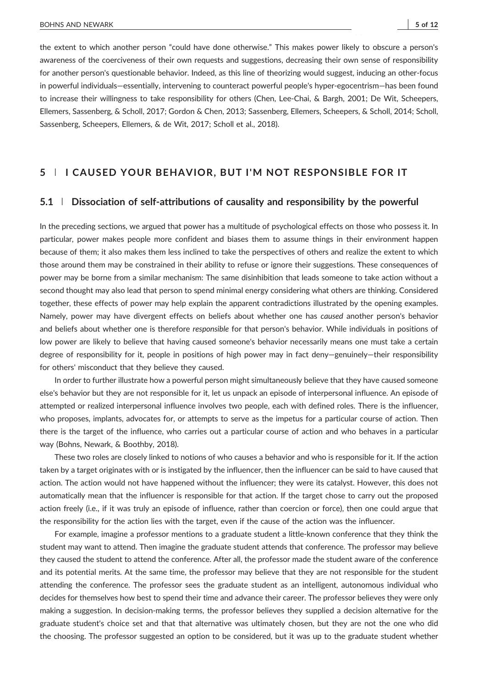the extent to which another person "could have done otherwise." This makes power likely to obscure a person's awareness of the coerciveness of their own requests and suggestions, decreasing their own sense of responsibility for another person's questionable behavior. Indeed, as this line of theorizing would suggest, inducing an other‐focus in powerful individuals—essentially, intervening to counteract powerful people's hyper‐egocentrism—has been found to increase their willingness to take responsibility for others (Chen, Lee-Chai, & Bargh, 2001; De Wit, Scheepers, Ellemers, Sassenberg, & Scholl, 2017; Gordon & Chen, 2013; Sassenberg, Ellemers, Scheepers, & Scholl, 2014; Scholl, Sassenberg, Scheepers, Ellemers, & de Wit, 2017; Scholl et al., 2018).

## 5 | I CAUSED YOUR BEHAVIOR, BUT I'M NOT RESPONSIBLE FOR IT

## 5.1 | Dissociation of self‐attributions of causality and responsibility by the powerful

In the preceding sections, we argued that power has a multitude of psychological effects on those who possess it. In particular, power makes people more confident and biases them to assume things in their environment happen because of them; it also makes them less inclined to take the perspectives of others and realize the extent to which those around them may be constrained in their ability to refuse or ignore their suggestions. These consequences of power may be borne from a similar mechanism: The same disinhibition that leads someone to take action without a second thought may also lead that person to spend minimal energy considering what others are thinking. Considered together, these effects of power may help explain the apparent contradictions illustrated by the opening examples. Namely, power may have divergent effects on beliefs about whether one has caused another person's behavior and beliefs about whether one is therefore responsible for that person's behavior. While individuals in positions of low power are likely to believe that having caused someone's behavior necessarily means one must take a certain degree of responsibility for it, people in positions of high power may in fact deny—genuinely—their responsibility for others' misconduct that they believe they caused.

In order to further illustrate how a powerful person might simultaneously believe that they have caused someone else's behavior but they are not responsible for it, let us unpack an episode of interpersonal influence. An episode of attempted or realized interpersonal influence involves two people, each with defined roles. There is the influencer, who proposes, implants, advocates for, or attempts to serve as the impetus for a particular course of action. Then there is the target of the influence, who carries out a particular course of action and who behaves in a particular way (Bohns, Newark, & Boothby, 2018).

These two roles are closely linked to notions of who causes a behavior and who is responsible for it. If the action taken by a target originates with or is instigated by the influencer, then the influencer can be said to have caused that action. The action would not have happened without the influencer; they were its catalyst. However, this does not automatically mean that the influencer is responsible for that action. If the target chose to carry out the proposed action freely (i.e., if it was truly an episode of influence, rather than coercion or force), then one could argue that the responsibility for the action lies with the target, even if the cause of the action was the influencer.

For example, imagine a professor mentions to a graduate student a little‐known conference that they think the student may want to attend. Then imagine the graduate student attends that conference. The professor may believe they caused the student to attend the conference. After all, the professor made the student aware of the conference and its potential merits. At the same time, the professor may believe that they are not responsible for the student attending the conference. The professor sees the graduate student as an intelligent, autonomous individual who decides for themselves how best to spend their time and advance their career. The professor believes they were only making a suggestion. In decision‐making terms, the professor believes they supplied a decision alternative for the graduate student's choice set and that that alternative was ultimately chosen, but they are not the one who did the choosing. The professor suggested an option to be considered, but it was up to the graduate student whether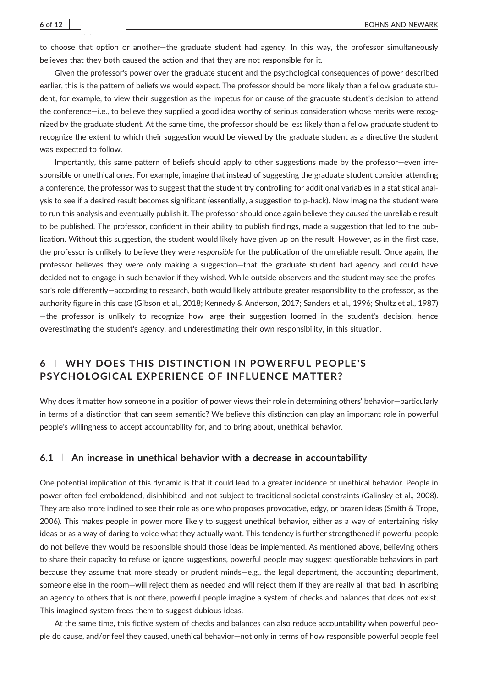to choose that option or another—the graduate student had agency. In this way, the professor simultaneously believes that they both caused the action and that they are not responsible for it.

Given the professor's power over the graduate student and the psychological consequences of power described earlier, this is the pattern of beliefs we would expect. The professor should be more likely than a fellow graduate student, for example, to view their suggestion as the impetus for or cause of the graduate student's decision to attend the conference—i.e., to believe they supplied a good idea worthy of serious consideration whose merits were recognized by the graduate student. At the same time, the professor should be less likely than a fellow graduate student to recognize the extent to which their suggestion would be viewed by the graduate student as a directive the student was expected to follow.

Importantly, this same pattern of beliefs should apply to other suggestions made by the professor—even irresponsible or unethical ones. For example, imagine that instead of suggesting the graduate student consider attending a conference, the professor was to suggest that the student try controlling for additional variables in a statistical analysis to see if a desired result becomes significant (essentially, a suggestion to p‐hack). Now imagine the student were to run this analysis and eventually publish it. The professor should once again believe they caused the unreliable result to be published. The professor, confident in their ability to publish findings, made a suggestion that led to the publication. Without this suggestion, the student would likely have given up on the result. However, as in the first case, the professor is unlikely to believe they were responsible for the publication of the unreliable result. Once again, the professor believes they were only making a suggestion—that the graduate student had agency and could have decided not to engage in such behavior if they wished. While outside observers and the student may see the professor's role differently—according to research, both would likely attribute greater responsibility to the professor, as the authority figure in this case (Gibson et al., 2018; Kennedy & Anderson, 2017; Sanders et al., 1996; Shultz et al., 1987) —the professor is unlikely to recognize how large their suggestion loomed in the student's decision, hence overestimating the student's agency, and underestimating their own responsibility, in this situation.

## 6 | WHY DOES THIS DISTINCTION IN POWERFUL PEOPLE'S PSYCHOLOGICAL EXPERIENCE OF INFLUENCE MATTER?

Why does it matter how someone in a position of power views their role in determining others' behavior—particularly in terms of a distinction that can seem semantic? We believe this distinction can play an important role in powerful people's willingness to accept accountability for, and to bring about, unethical behavior.

### 6.1  $\parallel$  An increase in unethical behavior with a decrease in accountability

One potential implication of this dynamic is that it could lead to a greater incidence of unethical behavior. People in power often feel emboldened, disinhibited, and not subject to traditional societal constraints (Galinsky et al., 2008). They are also more inclined to see their role as one who proposes provocative, edgy, or brazen ideas (Smith & Trope, 2006). This makes people in power more likely to suggest unethical behavior, either as a way of entertaining risky ideas or as a way of daring to voice what they actually want. This tendency is further strengthened if powerful people do not believe they would be responsible should those ideas be implemented. As mentioned above, believing others to share their capacity to refuse or ignore suggestions, powerful people may suggest questionable behaviors in part because they assume that more steady or prudent minds—e.g., the legal department, the accounting department, someone else in the room—will reject them as needed and will reject them if they are really all that bad. In ascribing an agency to others that is not there, powerful people imagine a system of checks and balances that does not exist. This imagined system frees them to suggest dubious ideas.

At the same time, this fictive system of checks and balances can also reduce accountability when powerful people do cause, and/or feel they caused, unethical behavior—not only in terms of how responsible powerful people feel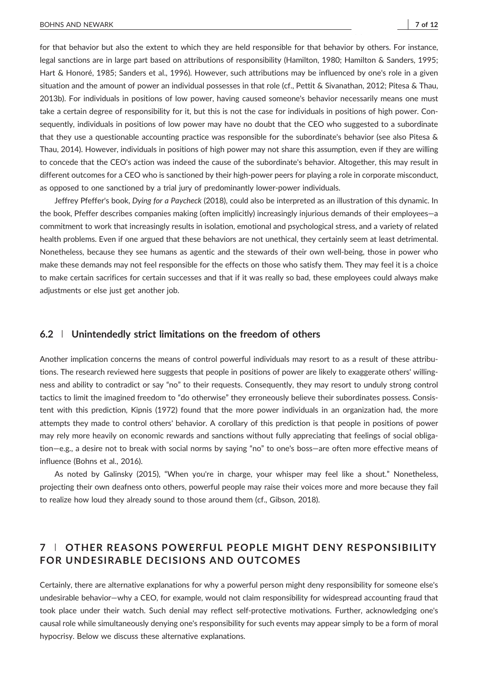for that behavior but also the extent to which they are held responsible for that behavior by others. For instance, legal sanctions are in large part based on attributions of responsibility (Hamilton, 1980; Hamilton & Sanders, 1995; Hart & Honoré, 1985; Sanders et al., 1996). However, such attributions may be influenced by one's role in a given situation and the amount of power an individual possesses in that role (cf., Pettit & Sivanathan, 2012; Pitesa & Thau, 2013b). For individuals in positions of low power, having caused someone's behavior necessarily means one must take a certain degree of responsibility for it, but this is not the case for individuals in positions of high power. Consequently, individuals in positions of low power may have no doubt that the CEO who suggested to a subordinate that they use a questionable accounting practice was responsible for the subordinate's behavior (see also Pitesa & Thau, 2014). However, individuals in positions of high power may not share this assumption, even if they are willing to concede that the CEO's action was indeed the cause of the subordinate's behavior. Altogether, this may result in different outcomes for a CEO who is sanctioned by their high‐power peers for playing a role in corporate misconduct, as opposed to one sanctioned by a trial jury of predominantly lower‐power individuals.

Jeffrey Pfeffer's book, Dying for a Paycheck (2018), could also be interpreted as an illustration of this dynamic. In the book, Pfeffer describes companies making (often implicitly) increasingly injurious demands of their employees—a commitment to work that increasingly results in isolation, emotional and psychological stress, and a variety of related health problems. Even if one argued that these behaviors are not unethical, they certainly seem at least detrimental. Nonetheless, because they see humans as agentic and the stewards of their own well‐being, those in power who make these demands may not feel responsible for the effects on those who satisfy them. They may feel it is a choice to make certain sacrifices for certain successes and that if it was really so bad, these employees could always make adjustments or else just get another job.

#### 6.2 | Unintendedly strict limitations on the freedom of others

Another implication concerns the means of control powerful individuals may resort to as a result of these attributions. The research reviewed here suggests that people in positions of power are likely to exaggerate others' willingness and ability to contradict or say "no" to their requests. Consequently, they may resort to unduly strong control tactics to limit the imagined freedom to "do otherwise" they erroneously believe their subordinates possess. Consistent with this prediction, Kipnis (1972) found that the more power individuals in an organization had, the more attempts they made to control others' behavior. A corollary of this prediction is that people in positions of power may rely more heavily on economic rewards and sanctions without fully appreciating that feelings of social obligation—e.g., a desire not to break with social norms by saying "no" to one's boss—are often more effective means of influence (Bohns et al., 2016).

As noted by Galinsky (2015), "When you're in charge, your whisper may feel like a shout." Nonetheless, projecting their own deafness onto others, powerful people may raise their voices more and more because they fail to realize how loud they already sound to those around them (cf., Gibson, 2018).

## 7 | OTHER REASONS POWERFUL PEOPLE MIGHT DENY RESPONSIBILITY FOR UNDESIRABLE DECISIONS AND OUTCOMES

Certainly, there are alternative explanations for why a powerful person might deny responsibility for someone else's undesirable behavior—why a CEO, for example, would not claim responsibility for widespread accounting fraud that took place under their watch. Such denial may reflect self‐protective motivations. Further, acknowledging one's causal role while simultaneously denying one's responsibility for such events may appear simply to be a form of moral hypocrisy. Below we discuss these alternative explanations.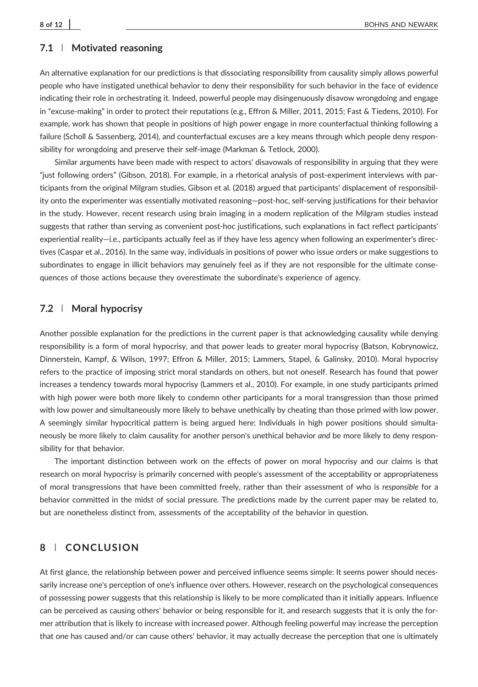## 7.1 | Motivated reasoning

An alternative explanation for our predictions is that dissociating responsibility from causality simply allows powerful people who have instigated unethical behavior to deny their responsibility for such behavior in the face of evidence indicating their role in orchestrating it. Indeed, powerful people may disingenuously disavow wrongdoing and engage in "excuse‐making" in order to protect their reputations (e.g., Effron & Miller, 2011, 2015; Fast & Tiedens, 2010). For example, work has shown that people in positions of high power engage in more counterfactual thinking following a failure (Scholl & Sassenberg, 2014), and counterfactual excuses are a key means through which people deny responsibility for wrongdoing and preserve their self‐image (Markman & Tetlock, 2000).

Similar arguments have been made with respect to actors' disavowals of responsibility in arguing that they were "just following orders" (Gibson, 2018). For example, in a rhetorical analysis of post‐experiment interviews with participants from the original Milgram studies, Gibson et al. (2018) argued that participants' displacement of responsibility onto the experimenter was essentially motivated reasoning—post‐hoc, self‐serving justifications for their behavior in the study. However, recent research using brain imaging in a modern replication of the Milgram studies instead suggests that rather than serving as convenient post‐hoc justifications, such explanations in fact reflect participants' experiential reality—i.e., participants actually feel as if they have less agency when following an experimenter's directives (Caspar et al., 2016). In the same way, individuals in positions of power who issue orders or make suggestions to subordinates to engage in illicit behaviors may genuinely feel as if they are not responsible for the ultimate consequences of those actions because they overestimate the subordinate's experience of agency.

### 7.2 | Moral hypocrisy

Another possible explanation for the predictions in the current paper is that acknowledging causality while denying responsibility is a form of moral hypocrisy, and that power leads to greater moral hypocrisy (Batson, Kobrynowicz, Dinnerstein, Kampf, & Wilson, 1997; Effron & Miller, 2015; Lammers, Stapel, & Galinsky, 2010). Moral hypocrisy refers to the practice of imposing strict moral standards on others, but not oneself. Research has found that power increases a tendency towards moral hypocrisy (Lammers et al., 2010). For example, in one study participants primed with high power were both more likely to condemn other participants for a moral transgression than those primed with low power and simultaneously more likely to behave unethically by cheating than those primed with low power. A seemingly similar hypocritical pattern is being argued here: Individuals in high power positions should simultaneously be more likely to claim causality for another person's unethical behavior and be more likely to deny responsibility for that behavior.

The important distinction between work on the effects of power on moral hypocrisy and our claims is that research on moral hypocrisy is primarily concerned with people's assessment of the acceptability or appropriateness of moral transgressions that have been committed freely, rather than their assessment of who is responsible for a behavior committed in the midst of social pressure. The predictions made by the current paper may be related to, but are nonetheless distinct from, assessments of the acceptability of the behavior in question.

## 8 | CONCLUSION

At first glance, the relationship between power and perceived influence seems simple: It seems power should necessarily increase one's perception of one's influence over others. However, research on the psychological consequences of possessing power suggests that this relationship is likely to be more complicated than it initially appears. Influence can be perceived as causing others' behavior or being responsible for it, and research suggests that it is only the former attribution that is likely to increase with increased power. Although feeling powerful may increase the perception that one has caused and/or can cause others' behavior, it may actually decrease the perception that one is ultimately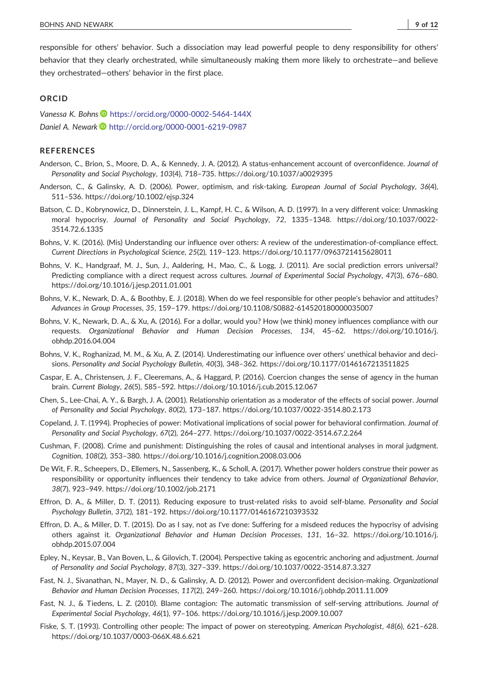responsible for others' behavior. Such a dissociation may lead powerful people to deny responsibility for others' behavior that they clearly orchestrated, while simultaneously making them more likely to orchestrate—and believe they orchestrated—others' behavior in the first place.

#### **ORCID**

Vanessa K. Bohns <https://orcid.org/0000-0002-5464-144X> Daniel A. Newark **<http://orcid.org/0000-0001-6219-0987>** 

#### **REFERENCES**

- Anderson, C., Brion, S., Moore, D. A., & Kennedy, J. A. (2012). A status-enhancement account of overconfidence. Journal of Personality and Social Psychology, 103(4), 718–735. <https://doi.org/10.1037/a0029395>
- Anderson, C., & Galinsky, A. D. (2006). Power, optimism, and risk-taking. European Journal of Social Psychology, 36(4), 511–536. <https://doi.org/10.1002/ejsp.324>
- Batson, C. D., Kobrynowicz, D., Dinnerstein, J. L., Kampf, H. C., & Wilson, A. D. (1997). In a very different voice: Unmasking moral hypocrisy. Journal of Personality and Social Psychology, 72, 1335–1348. [https://doi.org/10.1037/0022](https://doi.org/10.1037/0022-3514.72.6.1335)‐ [3514.72.6.1335](https://doi.org/10.1037/0022-3514.72.6.1335)
- Bohns, V. K. (2016). (Mis) Understanding our influence over others: A review of the underestimation-of-compliance effect. Current Directions in Psychological Science, 25(2), 119–123. <https://doi.org/10.1177/0963721415628011>
- Bohns, V. K., Handgraaf, M. J., Sun, J., Aaldering, H., Mao, C., & Logg, J. (2011). Are social prediction errors universal? Predicting compliance with a direct request across cultures. Journal of Experimental Social Psychology, 47(3), 676–680. <https://doi.org/10.1016/j.jesp.2011.01.001>
- Bohns, V. K., Newark, D. A., & Boothby, E. J. (2018). When do we feel responsible for other people's behavior and attitudes? Advances in Group Processes, 35, 159–179. [https://doi.org/10.1108/S0882](https://doi.org/10.1108/S0882-614520180000035007)‐614520180000035007
- Bohns, V. K., Newark, D. A., & Xu, A. (2016). For a dollar, would you? How (we think) money influences compliance with our requests. Organizational Behavior and Human Decision Processes, 134, 45–62. [https://doi.org/10.1016/j.](https://doi.org/10.1016/j.obhdp.2016.04.004) [obhdp.2016.04.004](https://doi.org/10.1016/j.obhdp.2016.04.004)
- Bohns, V. K., Roghanizad, M. M., & Xu, A. Z. (2014). Underestimating our influence over others' unethical behavior and decisions. Personality and Social Psychology Bulletin, 40(3), 348–362. <https://doi.org/10.1177/0146167213511825>
- Caspar, E. A., Christensen, J. F., Cleeremans, A., & Haggard, P. (2016). Coercion changes the sense of agency in the human brain. Current Biology, 26(5), 585–592. <https://doi.org/10.1016/j.cub.2015.12.067>
- Chen, S., Lee‐Chai, A. Y., & Bargh, J. A. (2001). Relationship orientation as a moderator of the effects of social power. Journal of Personality and Social Psychology, 80(2), 173–187. [https://doi.org/10.1037/0022](https://doi.org/10.1037/0022-3514.80.2.173)‐3514.80.2.173
- Copeland, J. T. (1994). Prophecies of power: Motivational implications of social power for behavioral confirmation. Journal of Personality and Social Psychology, 67(2), 264–277. [https://doi.org/10.1037/0022](https://doi.org/10.1037/0022-3514.67.2.264)‐3514.67.2.264
- Cushman, F. (2008). Crime and punishment: Distinguishing the roles of causal and intentional analyses in moral judgment. Cognition, 108(2), 353–380. <https://doi.org/10.1016/j.cognition.2008.03.006>
- De Wit, F. R., Scheepers, D., Ellemers, N., Sassenberg, K., & Scholl, A. (2017). Whether power holders construe their power as responsibility or opportunity influences their tendency to take advice from others. Journal of Organizational Behavior, 38(7), 923–949. <https://doi.org/10.1002/job.2171>
- Effron, D. A., & Miller, D. T. (2011). Reducing exposure to trust-related risks to avoid self-blame. Personality and Social Psychology Bulletin, 37(2), 181–192. <https://doi.org/10.1177/0146167210393532>
- Effron, D. A., & Miller, D. T. (2015). Do as I say, not as I've done: Suffering for a misdeed reduces the hypocrisy of advising others against it. Organizational Behavior and Human Decision Processes, 131, 16–32. [https://doi.org/10.1016/j.](https://doi.org/10.1016/j.obhdp.2015.07.004) [obhdp.2015.07.004](https://doi.org/10.1016/j.obhdp.2015.07.004)
- Epley, N., Keysar, B., Van Boven, L., & Gilovich, T. (2004). Perspective taking as egocentric anchoring and adjustment. Journal of Personality and Social Psychology, 87(3), 327–339. [https://doi.org/10.1037/0022](https://doi.org/10.1037/0022-3514.87.3.327)‐3514.87.3.327
- Fast, N. J., Sivanathan, N., Mayer, N. D., & Galinsky, A. D. (2012). Power and overconfident decision-making. Organizational Behavior and Human Decision Processes, 117(2), 249–260. <https://doi.org/10.1016/j.obhdp.2011.11.009>
- Fast, N. J., & Tiedens, L. Z. (2010). Blame contagion: The automatic transmission of self-serving attributions. Journal of Experimental Social Psychology, 46(1), 97–106. <https://doi.org/10.1016/j.jesp.2009.10.007>
- Fiske, S. T. (1993). Controlling other people: The impact of power on stereotyping. American Psychologist, 48(6), 621–628. [https://doi.org/10.1037/0003](https://doi.org/10.1037/0003-066X.48.6.621)‐066X.48.6.621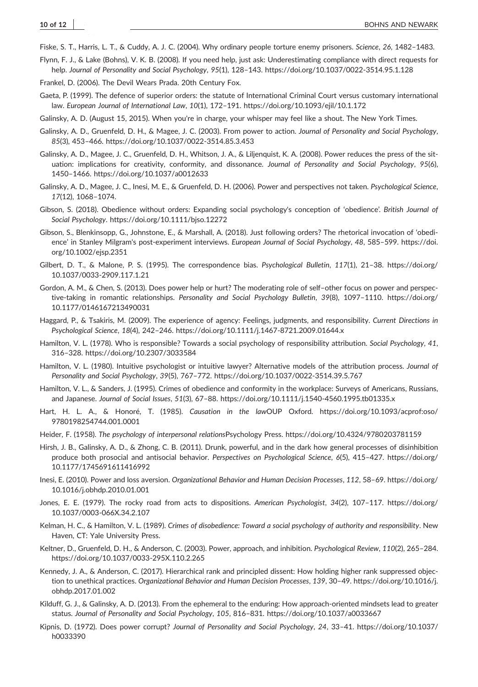Fiske, S. T., Harris, L. T., & Cuddy, A. J. C. (2004). Why ordinary people torture enemy prisoners. Science, 26, 1482–1483.

- Flynn, F. J., & Lake (Bohns), V. K. B. (2008). If you need help, just ask: Underestimating compliance with direct requests for help. Journal of Personality and Social Psychology, 95(1), 128–143. [https://doi.org/10.1037/0022](https://doi.org/10.1037/0022-3514.95.1.128)‐3514.95.1.128
- Frankel, D. (2006). The Devil Wears Prada. 20th Century Fox.
- Gaeta, P. (1999). The defence of superior orders: the statute of International Criminal Court versus customary international law. European Journal of International Law, 10(1), 172–191. <https://doi.org/10.1093/ejil/10.1.172>
- Galinsky, A. D. (August 15, 2015). When you're in charge, your whisper may feel like a shout. The New York Times.
- Galinsky, A. D., Gruenfeld, D. H., & Magee, J. C. (2003). From power to action. Journal of Personality and Social Psychology, 85(3), 453–466. [https://doi.org/10.1037/0022](https://doi.org/10.1037/0022-3514.85.3.453)‐3514.85.3.453
- Galinsky, A. D., Magee, J. C., Gruenfeld, D. H., Whitson, J. A., & Liljenquist, K. A. (2008). Power reduces the press of the situation: implications for creativity, conformity, and dissonance. Journal of Personality and Social Psychology, 95(6), 1450–1466. <https://doi.org/10.1037/a0012633>
- Galinsky, A. D., Magee, J. C., Inesi, M. E., & Gruenfeld, D. H. (2006). Power and perspectives not taken. Psychological Science, 17(12), 1068–1074.
- Gibson, S. (2018). Obedience without orders: Expanding social psychology's conception of 'obedience'. British Journal of Social Psychology. <https://doi.org/10.1111/bjso.12272>
- Gibson, S., Blenkinsopp, G., Johnstone, E., & Marshall, A. (2018). Just following orders? The rhetorical invocation of 'obedience' in Stanley Milgram's post‐experiment interviews. European Journal of Social Psychology, 48, 585–599. [https://doi.](https://doi.org/10.1002/ejsp.2351) [org/10.1002/ejsp.2351](https://doi.org/10.1002/ejsp.2351)
- Gilbert, D. T., & Malone, P. S. (1995). The correspondence bias. Psychological Bulletin, 117(1), 21–38. [https://doi.org/](https://doi.org/10.1037/0033-2909.117.1.21) [10.1037/0033](https://doi.org/10.1037/0033-2909.117.1.21)‐2909.117.1.21
- Gordon, A. M., & Chen, S. (2013). Does power help or hurt? The moderating role of self–other focus on power and perspective-taking in romantic relationships. Personality and Social Psychology Bulletin, 39(8), 1097-1110. [https://doi.org/](https://doi.org/10.1177/0146167213490031) [10.1177/0146167213490031](https://doi.org/10.1177/0146167213490031)
- Haggard, P., & Tsakiris, M. (2009). The experience of agency: Feelings, judgments, and responsibility. Current Directions in Psychological Science, 18(4), 242–246. [https://doi.org/10.1111/j.1467](https://doi.org/10.1111/j.1467-8721.2009.01644.x)‐8721.2009.01644.x
- Hamilton, V. L. (1978). Who is responsible? Towards a social psychology of responsibility attribution. Social Psychology, 41, 316–328. <https://doi.org/10.2307/3033584>
- Hamilton, V. L. (1980). Intuitive psychologist or intuitive lawyer? Alternative models of the attribution process. Journal of Personality and Social Psychology, 39(5), 767–772. [https://doi.org/10.1037/0022](https://doi.org/10.1037/0022-3514.39.5.767)‐3514.39.5.767
- Hamilton, V. L., & Sanders, J. (1995). Crimes of obedience and conformity in the workplace: Surveys of Americans, Russians, and Japanese. Journal of Social Issues, 51(3), 67–88. [https://doi.org/10.1111/j.1540](https://doi.org/10.1111/j.1540-4560.1995.tb01335.x)‐4560.1995.tb01335.x
- Hart, H. L. A., & Honoré, T. (1985). Causation in the lawOUP Oxford. [https://doi.org/10.1093/acprof:oso/](https://doi.org/10.1093/acprof:oso/9780198254744.001.0001) [9780198254744.001.0001](https://doi.org/10.1093/acprof:oso/9780198254744.001.0001)
- Heider, F. (1958). The psychology of interpersonal relationsPsychology Press. <https://doi.org/10.4324/9780203781159>
- Hirsh, J. B., Galinsky, A. D., & Zhong, C. B. (2011). Drunk, powerful, and in the dark how general processes of disinhibition produce both prosocial and antisocial behavior. Perspectives on Psychological Science, 6(5), 415–427. [https://doi.org/](https://doi.org/10.1177/1745691611416992) [10.1177/1745691611416992](https://doi.org/10.1177/1745691611416992)
- Inesi, E. (2010). Power and loss aversion. Organizational Behavior and Human Decision Processes, 112, 58–69. [https://doi.org/](https://doi.org/10.1016/j.obhdp.2010.01.001) [10.1016/j.obhdp.2010.01.001](https://doi.org/10.1016/j.obhdp.2010.01.001)
- Jones, E. E. (1979). The rocky road from acts to dispositions. American Psychologist, 34(2), 107–117. [https://doi.org/](https://doi.org/10.1037/0003-066X.34.2.107) 10.1037/0003‐[066X.34.2.107](https://doi.org/10.1037/0003-066X.34.2.107)
- Kelman, H. C., & Hamilton, V. L. (1989). Crimes of disobedience: Toward a social psychology of authority and responsibility. New Haven, CT: Yale University Press.
- Keltner, D., Gruenfeld, D. H., & Anderson, C. (2003). Power, approach, and inhibition. Psychological Review, 110(2), 265–284. [https://doi.org/10.1037/0033](https://doi.org/10.1037/0033-295X.110.2.265)‐295X.110.2.265
- Kennedy, J. A., & Anderson, C. (2017). Hierarchical rank and principled dissent: How holding higher rank suppressed objection to unethical practices. Organizational Behavior and Human Decision Processes, 139, 30–49. [https://doi.org/10.1016/j.](https://doi.org/10.1016/j.obhdp.2017.01.002) [obhdp.2017.01.002](https://doi.org/10.1016/j.obhdp.2017.01.002)
- Kilduff, G. J., & Galinsky, A. D. (2013). From the ephemeral to the enduring: How approach‐oriented mindsets lead to greater status. Journal of Personality and Social Psychology, 105, 816–831. <https://doi.org/10.1037/a0033667>
- Kipnis, D. (1972). Does power corrupt? Journal of Personality and Social Psychology, 24, 33–41. [https://doi.org/10.1037/](https://doi.org/10.1037/h0033390) [h0033390](https://doi.org/10.1037/h0033390)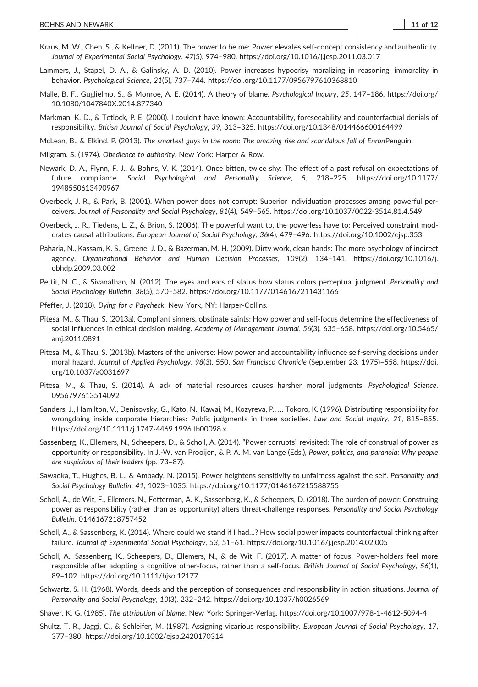- Kraus, M. W., Chen, S., & Keltner, D. (2011). The power to be me: Power elevates self‐concept consistency and authenticity. Journal of Experimental Social Psychology, 47(5), 974–980. <https://doi.org/10.1016/j.jesp.2011.03.017>
- Lammers, J., Stapel, D. A., & Galinsky, A. D. (2010). Power increases hypocrisy moralizing in reasoning, immorality in behavior. Psychological Science, 21(5), 737–744. <https://doi.org/10.1177/0956797610368810>
- Malle, B. F., Guglielmo, S., & Monroe, A. E. (2014). A theory of blame. Psychological Inquiry, 25, 147–186. [https://doi.org/](https://doi.org/10.1080/1047840X.2014.877340) [10.1080/1047840X.2014.877340](https://doi.org/10.1080/1047840X.2014.877340)
- Markman, K. D., & Tetlock, P. E. (2000). I couldn't have known: Accountability, foreseeability and counterfactual denials of responsibility. British Journal of Social Psychology, 39, 313–325. <https://doi.org/10.1348/014466600164499>
- McLean, B., & Elkind, P. (2013). The smartest guys in the room: The amazing rise and scandalous fall of EnronPenguin.
- Milgram, S. (1974). Obedience to authority. New York: Harper & Row.
- Newark, D. A., Flynn, F. J., & Bohns, V. K. (2014). Once bitten, twice shy: The effect of a past refusal on expectations of future compliance. Social Psychological and Personality Science, 5, 218–225. [https://doi.org/10.1177/](https://doi.org/10.1177/1948550613490967) [1948550613490967](https://doi.org/10.1177/1948550613490967)
- Overbeck, J. R., & Park, B. (2001). When power does not corrupt: Superior individuation processes among powerful perceivers. Journal of Personality and Social Psychology, 81(4), 549–565. [https://doi.org/10.1037/0022](https://doi.org/10.1037/0022-3514.81.4.549)‐3514.81.4.549
- Overbeck, J. R., Tiedens, L. Z., & Brion, S. (2006). The powerful want to, the powerless have to: Perceived constraint moderates causal attributions. European Journal of Social Psychology, 36(4), 479–496. <https://doi.org/10.1002/ejsp.353>
- Paharia, N., Kassam, K. S., Greene, J. D., & Bazerman, M. H. (2009). Dirty work, clean hands: The more psychology of indirect agency. Organizational Behavior and Human Decision Processes, 109(2), 134–141. [https://doi.org/10.1016/j.](https://doi.org/10.1016/j.obhdp.2009.03.002) [obhdp.2009.03.002](https://doi.org/10.1016/j.obhdp.2009.03.002)
- Pettit, N. C., & Sivanathan, N. (2012). The eyes and ears of status how status colors perceptual judgment. Personality and Social Psychology Bulletin, 38(5), 570–582. <https://doi.org/10.1177/0146167211431166>
- Pfeffer, J. (2018). Dying for a Paycheck. New York, NY: Harper‐Collins.
- Pitesa, M., & Thau, S. (2013a). Compliant sinners, obstinate saints: How power and self‐focus determine the effectiveness of social influences in ethical decision making. Academy of Management Journal, 56(3), 635–658. [https://doi.org/10.5465/](https://doi.org/10.5465/amj.2011.0891) [amj.2011.0891](https://doi.org/10.5465/amj.2011.0891)
- Pitesa, M., & Thau, S. (2013b). Masters of the universe: How power and accountability influence self‐serving decisions under moral hazard. Journal of Applied Psychology, 98(3), 550. San Francisco Chronicle (September 23, 1975)–558. [https://doi.](https://doi.org/10.1037/a0031697) [org/10.1037/a0031697](https://doi.org/10.1037/a0031697)
- Pitesa, M., & Thau, S. (2014). A lack of material resources causes harsher moral judgments. Psychological Science. 0956797613514092
- Sanders, J., Hamilton, V., Denisovsky, G., Kato, N., Kawai, M., Kozyreva, P., … Tokoro, K. (1996). Distributing responsibility for wrongdoing inside corporate hierarchies: Public judgments in three societies. Law and Social Inquiry, 21, 815-855. [https://doi.org/10.1111/j.1747](https://doi.org/10.1111/j.1747-4469.1996.tb00098.x)‐4469.1996.tb00098.x
- Sassenberg, K., Ellemers, N., Scheepers, D., & Scholl, A. (2014). "Power corrupts" revisited: The role of construal of power as opportunity or responsibility. In J.‐W. van Prooijen, & P. A. M. van Lange (Eds.), Power, politics, and paranoia: Why people are suspicious of their leaders (pp. 73–87).
- Sawaoka, T., Hughes, B. L., & Ambady, N. (2015). Power heightens sensitivity to unfairness against the self. Personality and Social Psychology Bulletin, 41, 1023–1035. <https://doi.org/10.1177/0146167215588755>
- Scholl, A., de Wit, F., Ellemers, N., Fetterman, A. K., Sassenberg, K., & Scheepers, D. (2018). The burden of power: Construing power as responsibility (rather than as opportunity) alters threat-challenge responses. Personality and Social Psychology Bulletin. 0146167218757452
- Scholl, A., & Sassenberg, K. (2014). Where could we stand if I had…? How social power impacts counterfactual thinking after failure. Journal of Experimental Social Psychology, 53, 51–61. <https://doi.org/10.1016/j.jesp.2014.02.005>
- Scholl, A., Sassenberg, K., Scheepers, D., Ellemers, N., & de Wit, F. (2017). A matter of focus: Power‐holders feel more responsible after adopting a cognitive other-focus, rather than a self-focus. British Journal of Social Psychology, 56(1), 89–102. <https://doi.org/10.1111/bjso.12177>
- Schwartz, S. H. (1968). Words, deeds and the perception of consequences and responsibility in action situations. Journal of Personality and Social Psychology, 10(3), 232–242. <https://doi.org/10.1037/h0026569>
- Shaver, K. G. (1985). The attribution of blame. New York: Springer‐Verlag. [https://doi.org/10.1007/978](https://doi.org/10.1007/978-1-4612-5094-4)‐1‐4612‐5094‐4
- Shultz, T. R., Jaggi, C., & Schleifer, M. (1987). Assigning vicarious responsibility. European Journal of Social Psychology, 17, 377–380. <https://doi.org/10.1002/ejsp.2420170314>